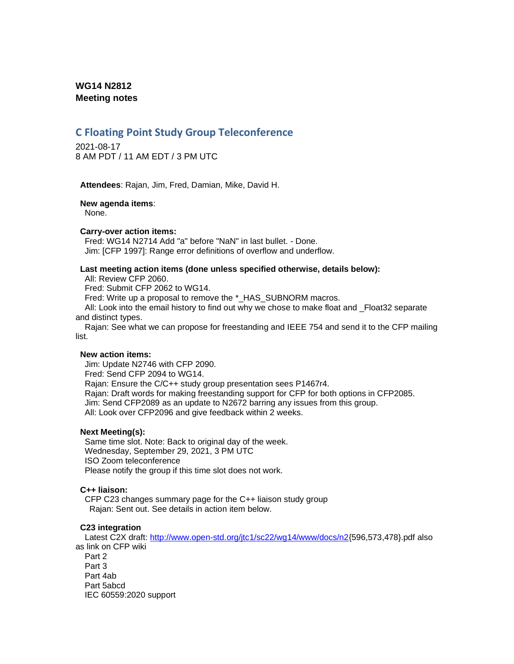# **WG14 N2812 Meeting notes**

# **C Floating Point Study Group Teleconference**

2021-08-17 8 AM PDT / 11 AM EDT / 3 PM UTC

**Attendees**: Rajan, Jim, Fred, Damian, Mike, David H.

### **New agenda items**:

None.

### **Carry-over action items:**

Fred: WG14 N2714 Add "a" before "NaN" in last bullet. - Done. Jim: [CFP 1997]: Range error definitions of overflow and underflow.

### **Last meeting action items (done unless specified otherwise, details below):**

All: Review CFP 2060.

Fred: Submit CFP 2062 to WG14.

Fred: Write up a proposal to remove the \*\_HAS\_SUBNORM macros.

All: Look into the email history to find out why we chose to make float and Float32 separate and distinct types.

Rajan: See what we can propose for freestanding and IEEE 754 and send it to the CFP mailing list.

### **New action items:**

Jim: Update N2746 with CFP 2090. Fred: Send CFP 2094 to WG14. Rajan: Ensure the C/C++ study group presentation sees P1467r4. Rajan: Draft words for making freestanding support for CFP for both options in CFP2085. Jim: Send CFP2089 as an update to N2672 barring any issues from this group. All: Look over CFP2096 and give feedback within 2 weeks.

### **Next Meeting(s):**

Same time slot. Note: Back to original day of the week. Wednesday, September 29, 2021, 3 PM UTC ISO Zoom teleconference Please notify the group if this time slot does not work.

### **C++ liaison:**

CFP C23 changes summary page for the C++ liaison study group Rajan: Sent out. See details in action item below.

### **C23 integration**

Latest C2X draft: [http://www.open-std.org/jtc1/sc22/wg14/www/docs/n2{](http://www.open-std.org/jtc1/sc22/wg14/www/docs/n2)596,573,478}.pdf also as link on CFP wiki Part 2 Part 3 Part 4ab Part 5abcd IEC 60559:2020 support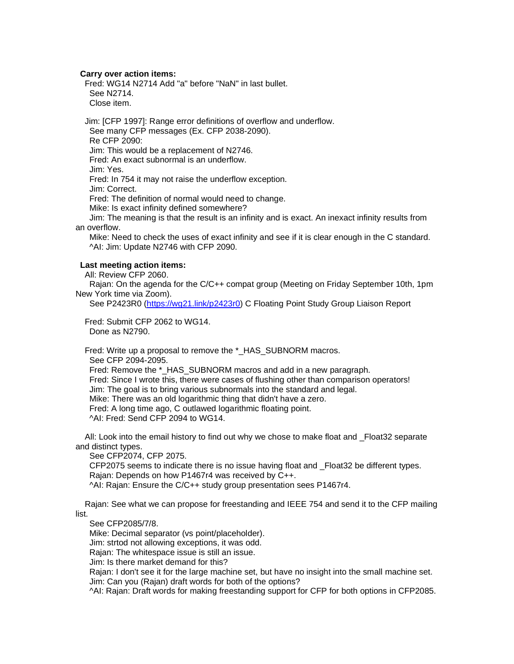### **Carry over action items:**

Fred: WG14 N2714 Add "a" before "NaN" in last bullet. See N2714. Close item.

Jim: [CFP 1997]: Range error definitions of overflow and underflow. See many CFP messages (Ex. CFP 2038-2090). Re CFP 2090: Jim: This would be a replacement of N2746. Fred: An exact subnormal is an underflow.

Jim: Yes.

Fred: In 754 it may not raise the underflow exception.

Jim: Correct.

Fred: The definition of normal would need to change.

Mike: Is exact infinity defined somewhere?

Jim: The meaning is that the result is an infinity and is exact. An inexact infinity results from an overflow.

Mike: Need to check the uses of exact infinity and see if it is clear enough in the C standard. ^AI: Jim: Update N2746 with CFP 2090.

### **Last meeting action items:**

All: Review CFP 2060.

Rajan: On the agenda for the C/C++ compat group (Meeting on Friday September 10th, 1pm New York time via Zoom).

See P2423R0 [\(https://wg21.link/p2423r0\)](https://wg21.link/p2423r0) C Floating Point Study Group Liaison Report

Fred: Submit CFP 2062 to WG14. Done as N2790.

Fred: Write up a proposal to remove the \*\_HAS\_SUBNORM macros. See CFP 2094-2095. Fred: Remove the \* HAS SUBNORM macros and add in a new paragraph. Fred: Since I wrote this, there were cases of flushing other than comparison operators!

Jim: The goal is to bring various subnormals into the standard and legal.

Mike: There was an old logarithmic thing that didn't have a zero.

Fred: A long time ago, C outlawed logarithmic floating point.

^AI: Fred: Send CFP 2094 to WG14.

All: Look into the email history to find out why we chose to make float and \_Float32 separate and distinct types.

See CFP2074, CFP 2075.

CFP2075 seems to indicate there is no issue having float and \_Float32 be different types. Rajan: Depends on how P1467r4 was received by C++. ^AI: Rajan: Ensure the C/C++ study group presentation sees P1467r4.

Rajan: See what we can propose for freestanding and IEEE 754 and send it to the CFP mailing list.

#### See CFP2085/7/8.

Mike: Decimal separator (vs point/placeholder).

Jim: strtod not allowing exceptions, it was odd.

Rajan: The whitespace issue is still an issue.

Jim: Is there market demand for this?

Rajan: I don't see it for the large machine set, but have no insight into the small machine set. Jim: Can you (Rajan) draft words for both of the options?

^AI: Rajan: Draft words for making freestanding support for CFP for both options in CFP2085.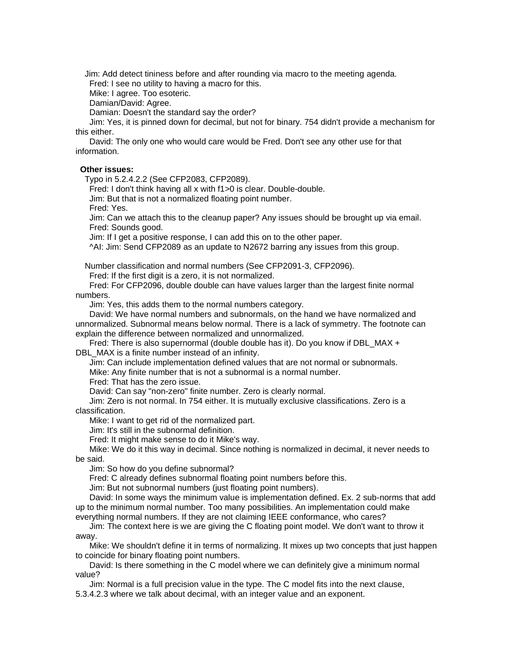Jim: Add detect tininess before and after rounding via macro to the meeting agenda.

Fred: I see no utility to having a macro for this.

Mike: I agree. Too esoteric.

Damian/David: Agree.

Damian: Doesn't the standard say the order?

Jim: Yes, it is pinned down for decimal, but not for binary. 754 didn't provide a mechanism for this either.

David: The only one who would care would be Fred. Don't see any other use for that information.

### **Other issues:**

Typo in 5.2.4.2.2 (See CFP2083, CFP2089).

Fred: I don't think having all x with f1>0 is clear. Double-double.

Jim: But that is not a normalized floating point number.

Fred: Yes.

Jim: Can we attach this to the cleanup paper? Any issues should be brought up via email. Fred: Sounds good.

Jim: If I get a positive response, I can add this on to the other paper.

^AI: Jim: Send CFP2089 as an update to N2672 barring any issues from this group.

Number classification and normal numbers (See CFP2091-3, CFP2096).

Fred: If the first digit is a zero, it is not normalized.

Fred: For CFP2096, double double can have values larger than the largest finite normal numbers.

Jim: Yes, this adds them to the normal numbers category.

David: We have normal numbers and subnormals, on the hand we have normalized and unnormalized. Subnormal means below normal. There is a lack of symmetry. The footnote can explain the difference between normalized and unnormalized.

Fred: There is also supernormal (double double has it). Do you know if DBL MAX +

## DBL MAX is a finite number instead of an infinity.

Jim: Can include implementation defined values that are not normal or subnormals.

Mike: Any finite number that is not a subnormal is a normal number.

Fred: That has the zero issue.

David: Can say "non-zero" finite number. Zero is clearly normal.

Jim: Zero is not normal. In 754 either. It is mutually exclusive classifications. Zero is a classification.

Mike: I want to get rid of the normalized part.

Jim: It's still in the subnormal definition.

Fred: It might make sense to do it Mike's way.

Mike: We do it this way in decimal. Since nothing is normalized in decimal, it never needs to be said.

Jim: So how do you define subnormal?

Fred: C already defines subnormal floating point numbers before this.

Jim: But not subnormal numbers (just floating point numbers).

David: In some ways the minimum value is implementation defined. Ex. 2 sub-norms that add up to the minimum normal number. Too many possibilities. An implementation could make everything normal numbers. If they are not claiming IEEE conformance, who cares?

Jim: The context here is we are giving the C floating point model. We don't want to throw it away.

Mike: We shouldn't define it in terms of normalizing. It mixes up two concepts that just happen to coincide for binary floating point numbers.

David: Is there something in the C model where we can definitely give a minimum normal value?

Jim: Normal is a full precision value in the type. The C model fits into the next clause, 5.3.4.2.3 where we talk about decimal, with an integer value and an exponent.